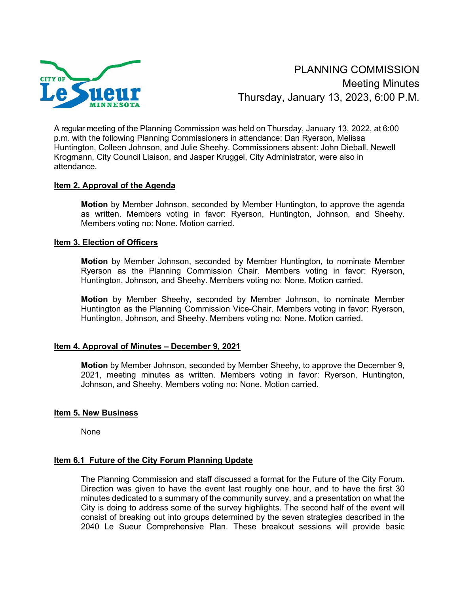

PLANNING COMMISSION Meeting Minutes Thursday, January 13, 2023, 6:00 P.M.

A regular meeting of the Planning Commission was held on Thursday, January 13, 2022, at 6:00 p.m. with the following Planning Commissioners in attendance: Dan Ryerson, Melissa Huntington, Colleen Johnson, and Julie Sheehy. Commissioners absent: John Dieball. Newell Krogmann, City Council Liaison, and Jasper Kruggel, City Administrator, were also in attendance.

## **Item 2. Approval of the Agenda**

**Motion** by Member Johnson, seconded by Member Huntington, to approve the agenda as written. Members voting in favor: Ryerson, Huntington, Johnson, and Sheehy. Members voting no: None. Motion carried.

### **Item 3. Election of Officers**

**Motion** by Member Johnson, seconded by Member Huntington, to nominate Member Ryerson as the Planning Commission Chair. Members voting in favor: Ryerson, Huntington, Johnson, and Sheehy. Members voting no: None. Motion carried.

**Motion** by Member Sheehy, seconded by Member Johnson, to nominate Member Huntington as the Planning Commission Vice-Chair. Members voting in favor: Ryerson, Huntington, Johnson, and Sheehy. Members voting no: None. Motion carried.

## **Item 4. Approval of Minutes – December 9, 2021**

**Motion** by Member Johnson, seconded by Member Sheehy, to approve the December 9, 2021, meeting minutes as written. Members voting in favor: Ryerson, Huntington, Johnson, and Sheehy. Members voting no: None. Motion carried.

#### **Item 5. New Business**

None

## **Item 6.1 Future of the City Forum Planning Update**

The Planning Commission and staff discussed a format for the Future of the City Forum. Direction was given to have the event last roughly one hour, and to have the first 30 minutes dedicated to a summary of the community survey, and a presentation on what the City is doing to address some of the survey highlights. The second half of the event will consist of breaking out into groups determined by the seven strategies described in the 2040 Le Sueur Comprehensive Plan. These breakout sessions will provide basic